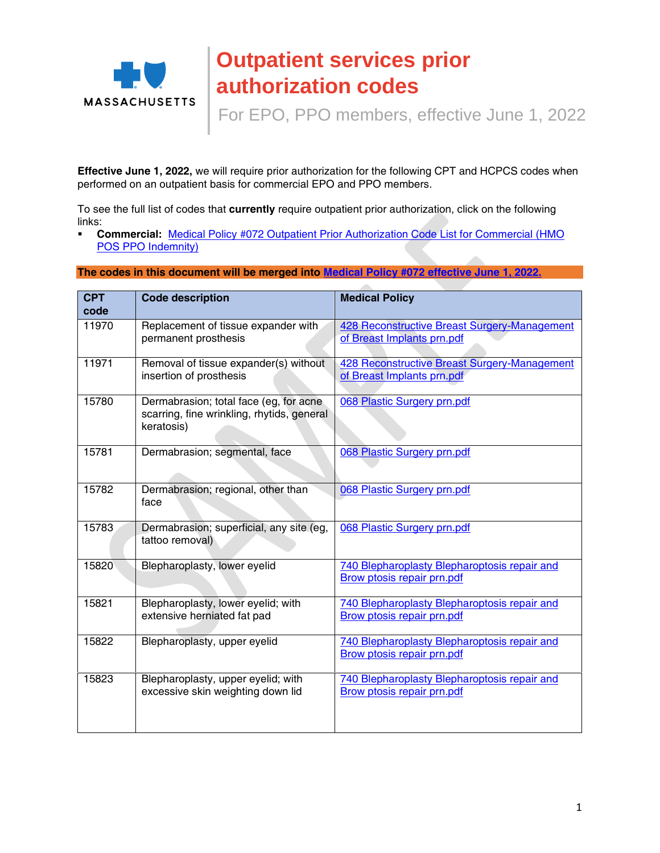

## **Outpatient services prior authorization codes**

For EPO, PPO members, effective June 1, 2022

**Effective June 1, 2022,** we will require prior authorization for the following CPT and HCPCS codes when performed on an outpatient basis for commercial EPO and PPO members.

To see the full list of codes that **currently** require outpatient prior authorization, click on the following links:

 **Commercial:** [Medical Policy #072 Outpatient Prior Authorization Code List for Commercial \(HMO](https://www.bluecrossma.org/medical-policies/sites/g/files/csphws2091/files/acquiadam-assets/072OutpatientPriorAuthorizationCodeListprn.pdf)  [POS PPO Indemnity\)](https://www.bluecrossma.org/medical-policies/sites/g/files/csphws2091/files/acquiadam-assets/072OutpatientPriorAuthorizationCodeListprn.pdf)

**The codes in this document will be merged into [Medical Policy #072](https://www.bluecrossma.org/medical-policies/sites/g/files/csphws2091/files/acquiadam-assets/072OutpatientPriorAuthorizationCodeListprn.pdf) effective June 1, 2022.**

| <b>CPT</b><br>code | <b>Code description</b>                                                                            | <b>Medical Policy</b>                                                             |
|--------------------|----------------------------------------------------------------------------------------------------|-----------------------------------------------------------------------------------|
| 11970              | Replacement of tissue expander with<br>permanent prosthesis                                        | 428 Reconstructive Breast Surgery-Management<br>of Breast Implants prn.pdf        |
| 11971              | Removal of tissue expander(s) without<br>insertion of prosthesis                                   | 428 Reconstructive Breast Surgery-Management<br>of Breast Implants prn.pdf        |
| 15780              | Dermabrasion; total face (eg, for acne<br>scarring, fine wrinkling, rhytids, general<br>keratosis) | 068 Plastic Surgery prn.pdf                                                       |
| 15781              | Dermabrasion; segmental, face                                                                      | 068 Plastic Surgery prn.pdf                                                       |
| 15782              | Dermabrasion; regional, other than<br>face                                                         | 068 Plastic Surgery prn.pdf                                                       |
| 15783              | Dermabrasion; superficial, any site (eg,<br>tattoo removal)                                        | 068 Plastic Surgery prn.pdf                                                       |
| 15820              | Blepharoplasty, lower eyelid                                                                       | 740 Blepharoplasty Blepharoptosis repair and<br>Brow ptosis repair prn.pdf        |
| 15821              | Blepharoplasty, lower eyelid; with<br>extensive herniated fat pad                                  | 740 Blepharoplasty Blepharoptosis repair and<br><b>Brow ptosis repair prn.pdf</b> |
| 15822              | Blepharoplasty, upper eyelid                                                                       | 740 Blepharoplasty Blepharoptosis repair and<br><b>Brow ptosis repair prn.pdf</b> |
| 15823              | Blepharoplasty, upper eyelid; with<br>excessive skin weighting down lid                            | 740 Blepharoplasty Blepharoptosis repair and<br>Brow ptosis repair prn.pdf        |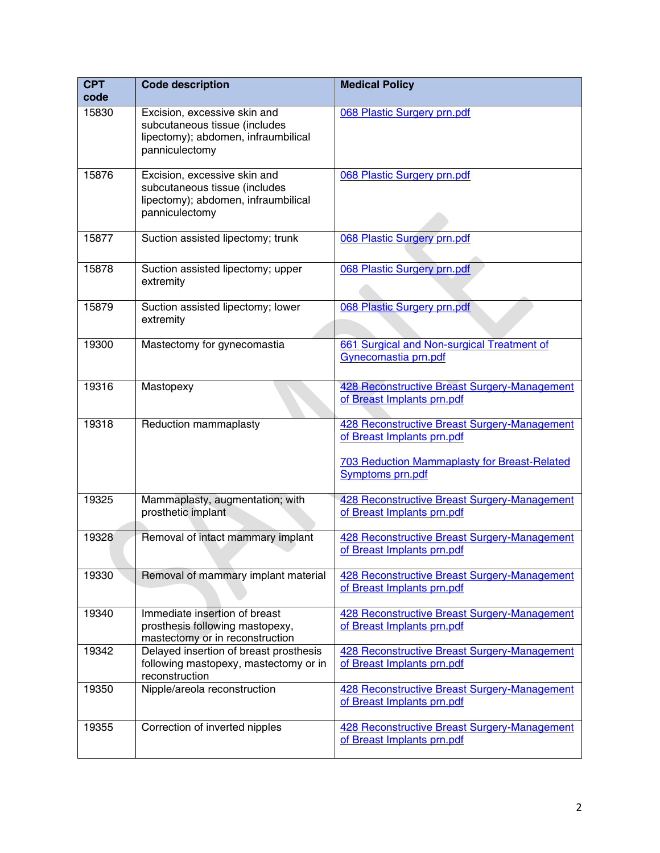| <b>CPT</b><br>code | <b>Code description</b>                                                                                                | <b>Medical Policy</b>                                                                                                                                        |
|--------------------|------------------------------------------------------------------------------------------------------------------------|--------------------------------------------------------------------------------------------------------------------------------------------------------------|
| 15830              | Excision, excessive skin and<br>subcutaneous tissue (includes<br>lipectomy); abdomen, infraumbilical<br>panniculectomy | 068 Plastic Surgery prn.pdf                                                                                                                                  |
| 15876              | Excision, excessive skin and<br>subcutaneous tissue (includes<br>lipectomy); abdomen, infraumbilical<br>panniculectomy | 068 Plastic Surgery prn.pdf                                                                                                                                  |
| 15877              | Suction assisted lipectomy; trunk                                                                                      | 068 Plastic Surgery prn.pdf                                                                                                                                  |
| 15878              | Suction assisted lipectomy; upper<br>extremity                                                                         | 068 Plastic Surgery prn.pdf                                                                                                                                  |
| 15879              | Suction assisted lipectomy; lower<br>extremity                                                                         | 068 Plastic Surgery prn.pdf                                                                                                                                  |
| 19300              | Mastectomy for gynecomastia                                                                                            | 661 Surgical and Non-surgical Treatment of<br>Gynecomastia prn.pdf                                                                                           |
| 19316              | Mastopexy                                                                                                              | 428 Reconstructive Breast Surgery-Management<br>of Breast Implants prn.pdf                                                                                   |
| 19318              | Reduction mammaplasty                                                                                                  | 428 Reconstructive Breast Surgery-Management<br>of Breast Implants prn.pdf<br><b>703 Reduction Mammaplasty for Breast-Related</b><br><b>Symptoms prn.pdf</b> |
| 19325              | Mammaplasty, augmentation; with<br>prosthetic implant                                                                  | 428 Reconstructive Breast Surgery-Management<br>of Breast Implants prn.pdf                                                                                   |
| 19328              | Removal of intact mammary implant                                                                                      | 428 Reconstructive Breast Surgery-Management<br>of Breast Implants prn.pdf                                                                                   |
| 19330              | Removal of mammary implant material                                                                                    | <b>428 Reconstructive Breast Surgery-Management</b><br>of Breast Implants prn.pdf                                                                            |
| 19340              | Immediate insertion of breast<br>prosthesis following mastopexy,<br>mastectomy or in reconstruction                    | 428 Reconstructive Breast Surgery-Management<br>of Breast Implants prn.pdf                                                                                   |
| 19342              | Delayed insertion of breast prosthesis<br>following mastopexy, mastectomy or in<br>reconstruction                      | 428 Reconstructive Breast Surgery-Management<br>of Breast Implants prn.pdf                                                                                   |
| 19350              | Nipple/areola reconstruction                                                                                           | <b>428 Reconstructive Breast Surgery-Management</b><br>of Breast Implants prn.pdf                                                                            |
| 19355              | Correction of inverted nipples                                                                                         | <b>428 Reconstructive Breast Surgery-Management</b><br>of Breast Implants prn.pdf                                                                            |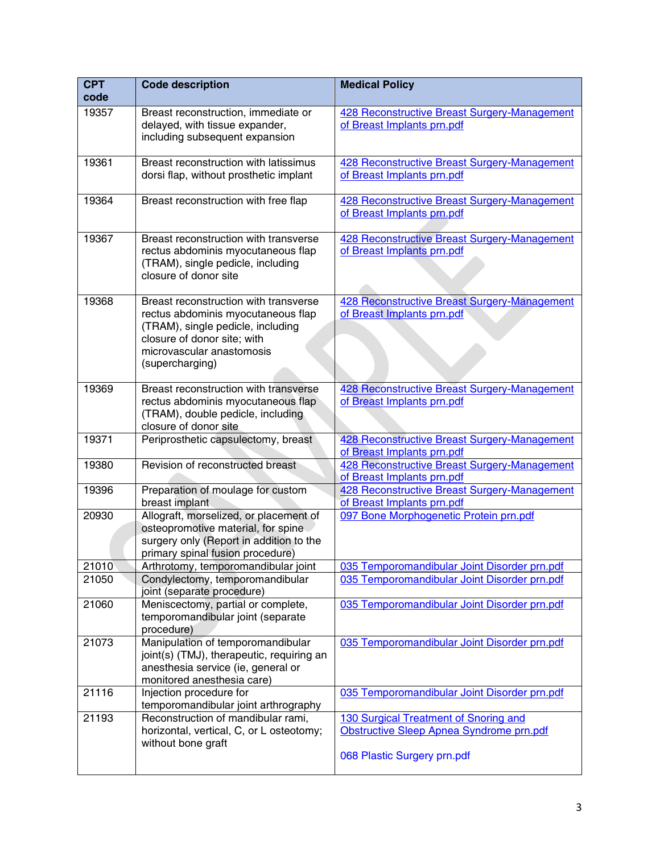| <b>CPT</b><br>code | <b>Code description</b>                                                                                                                                                                         | <b>Medical Policy</b>                                                                                            |
|--------------------|-------------------------------------------------------------------------------------------------------------------------------------------------------------------------------------------------|------------------------------------------------------------------------------------------------------------------|
| 19357              | Breast reconstruction, immediate or<br>delayed, with tissue expander,<br>including subsequent expansion                                                                                         | <b>428 Reconstructive Breast Surgery-Management</b><br>of Breast Implants prn.pdf                                |
| 19361              | Breast reconstruction with latissimus<br>dorsi flap, without prosthetic implant                                                                                                                 | 428 Reconstructive Breast Surgery-Management<br>of Breast Implants prn.pdf                                       |
| 19364              | Breast reconstruction with free flap                                                                                                                                                            | 428 Reconstructive Breast Surgery-Management<br>of Breast Implants prn.pdf                                       |
| 19367              | Breast reconstruction with transverse<br>rectus abdominis myocutaneous flap<br>(TRAM), single pedicle, including<br>closure of donor site                                                       | 428 Reconstructive Breast Surgery-Management<br>of Breast Implants prn.pdf                                       |
| 19368              | Breast reconstruction with transverse<br>rectus abdominis myocutaneous flap<br>(TRAM), single pedicle, including<br>closure of donor site; with<br>microvascular anastomosis<br>(supercharging) | 428 Reconstructive Breast Surgery-Management<br>of Breast Implants prn.pdf                                       |
| 19369              | Breast reconstruction with transverse<br>rectus abdominis myocutaneous flap<br>(TRAM), double pedicle, including<br>closure of donor site                                                       | 428 Reconstructive Breast Surgery-Management<br>of Breast Implants prn.pdf                                       |
| 19371              | Periprosthetic capsulectomy, breast                                                                                                                                                             | 428 Reconstructive Breast Surgery-Management<br>of Breast Implants prn.pdf                                       |
| 19380              | Revision of reconstructed breast                                                                                                                                                                | 428 Reconstructive Breast Surgery-Management<br>of Breast Implants prn.pdf                                       |
| 19396              | Preparation of moulage for custom<br>breast implant                                                                                                                                             | 428 Reconstructive Breast Surgery-Management<br>of Breast Implants prn.pdf                                       |
| 20930              | Allograft, morselized, or placement of<br>osteopromotive material, for spine<br>surgery only (Report in addition to the<br>primary spinal fusion procedure)                                     | 097 Bone Morphogenetic Protein prn.pdf                                                                           |
| 21010              | Arthrotomy, temporomandibular joint                                                                                                                                                             | 035 Temporomandibular Joint Disorder prn.pdf                                                                     |
| 21050              | Condylectomy, temporomandibular<br>joint (separate procedure)                                                                                                                                   | 035 Temporomandibular Joint Disorder prn.pdf                                                                     |
| 21060              | Meniscectomy, partial or complete,<br>temporomandibular joint (separate<br>procedure)                                                                                                           | 035 Temporomandibular Joint Disorder prn.pdf                                                                     |
| 21073              | Manipulation of temporomandibular<br>joint(s) (TMJ), therapeutic, requiring an<br>anesthesia service (ie, general or<br>monitored anesthesia care)                                              | 035 Temporomandibular Joint Disorder prn.pdf                                                                     |
| 21116              | Injection procedure for<br>temporomandibular joint arthrography                                                                                                                                 | 035 Temporomandibular Joint Disorder prn.pdf                                                                     |
| 21193              | Reconstruction of mandibular rami,<br>horizontal, vertical, C, or L osteotomy;<br>without bone graft                                                                                            | 130 Surgical Treatment of Snoring and<br>Obstructive Sleep Apnea Syndrome prn.pdf<br>068 Plastic Surgery prn.pdf |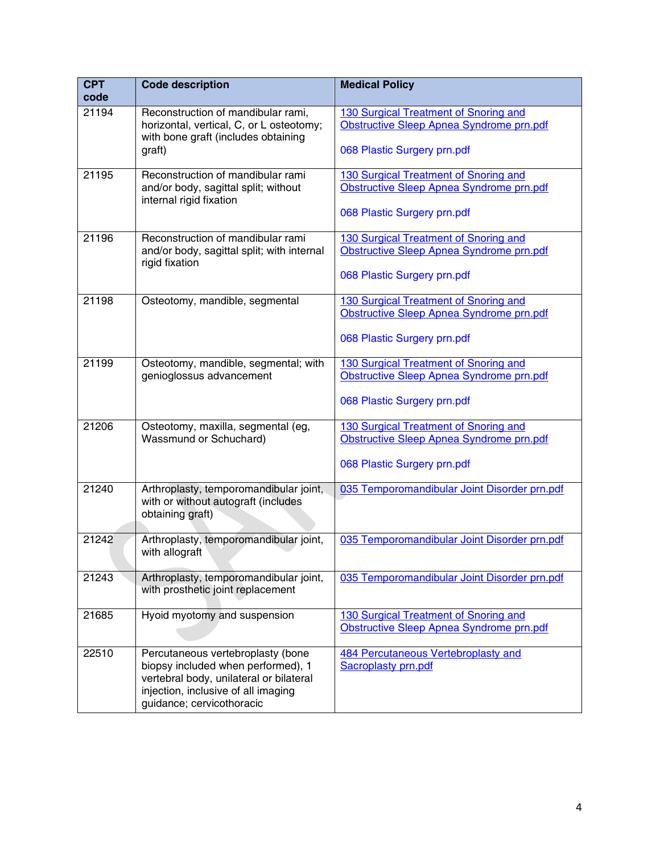| <b>CPT</b><br>code | <b>Code description</b>                                                                                                                                                                | <b>Medical Policy</b>                                                                                            |
|--------------------|----------------------------------------------------------------------------------------------------------------------------------------------------------------------------------------|------------------------------------------------------------------------------------------------------------------|
| 21194              | Reconstruction of mandibular rami,<br>horizontal, vertical, C, or L osteotomy;<br>with bone graft (includes obtaining<br>graft)                                                        | 130 Surgical Treatment of Snoring and<br>Obstructive Sleep Apnea Syndrome prn.pdf<br>068 Plastic Surgery prn.pdf |
| 21195              | Reconstruction of mandibular rami<br>and/or body, sagittal split; without<br>internal rigid fixation                                                                                   | 130 Surgical Treatment of Snoring and<br>Obstructive Sleep Apnea Syndrome prn.pdf<br>068 Plastic Surgery prn.pdf |
| 21196              | Reconstruction of mandibular rami<br>and/or body, sagittal split; with internal<br>rigid fixation                                                                                      | 130 Surgical Treatment of Snoring and<br>Obstructive Sleep Apnea Syndrome prn.pdf<br>068 Plastic Surgery prn.pdf |
| 21198              | Osteotomy, mandible, segmental                                                                                                                                                         | 130 Surgical Treatment of Snoring and<br>Obstructive Sleep Apnea Syndrome prn.pdf<br>068 Plastic Surgery prn.pdf |
| 21199              | Osteotomy, mandible, segmental; with<br>genioglossus advancement                                                                                                                       | 130 Surgical Treatment of Snoring and<br>Obstructive Sleep Apnea Syndrome prn.pdf<br>068 Plastic Surgery prn.pdf |
| 21206              | Osteotomy, maxilla, segmental (eg,<br>Wassmund or Schuchard)                                                                                                                           | 130 Surgical Treatment of Snoring and<br>Obstructive Sleep Apnea Syndrome prn.pdf<br>068 Plastic Surgery prn.pdf |
| 21240              | Arthroplasty, temporomandibular joint,<br>with or without autograft (includes<br>obtaining graft)                                                                                      | 035 Temporomandibular Joint Disorder prn.pdf                                                                     |
| 21242              | Arthroplasty, temporomandibular joint,<br>with allograft                                                                                                                               | 035 Temporomandibular Joint Disorder prn.pdf                                                                     |
| 21243              | Arthroplasty, temporomandibular joint,<br>with prosthetic joint replacement                                                                                                            | 035 Temporomandibular Joint Disorder prn.pdf                                                                     |
| 21685              | Hyoid myotomy and suspension                                                                                                                                                           | 130 Surgical Treatment of Snoring and<br>Obstructive Sleep Apnea Syndrome prn.pdf                                |
| 22510              | Percutaneous vertebroplasty (bone<br>biopsy included when performed), 1<br>vertebral body, unilateral or bilateral<br>injection, inclusive of all imaging<br>guidance; cervicothoracic | 484 Percutaneous Vertebroplasty and<br><b>Sacroplasty prn.pdf</b>                                                |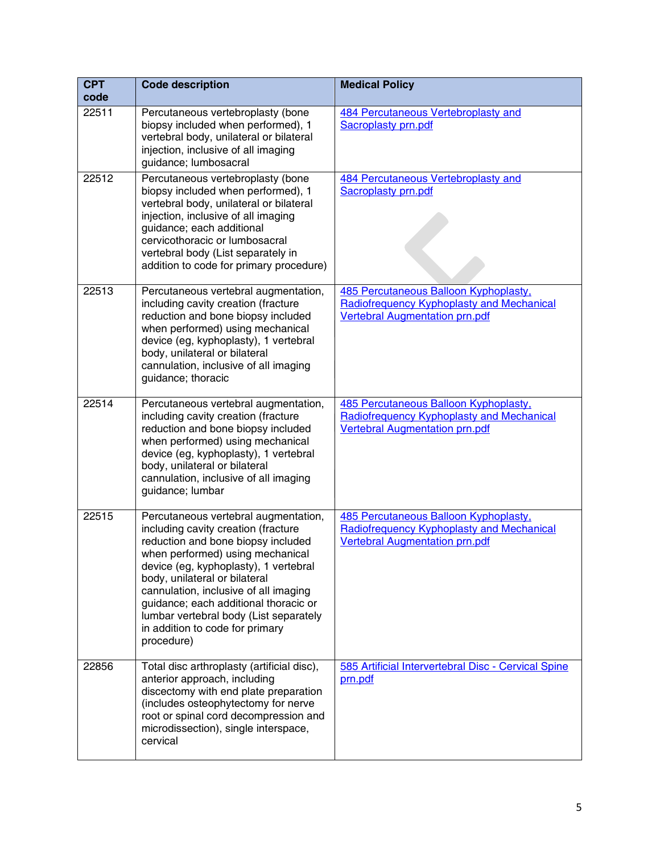| <b>CPT</b><br>code | <b>Code description</b>                                                                                                                                                                                                                                                                                                                                                                                      | <b>Medical Policy</b>                                                                                                       |
|--------------------|--------------------------------------------------------------------------------------------------------------------------------------------------------------------------------------------------------------------------------------------------------------------------------------------------------------------------------------------------------------------------------------------------------------|-----------------------------------------------------------------------------------------------------------------------------|
| 22511              | Percutaneous vertebroplasty (bone<br>biopsy included when performed), 1<br>vertebral body, unilateral or bilateral<br>injection, inclusive of all imaging<br>guidance; lumbosacral                                                                                                                                                                                                                           | 484 Percutaneous Vertebroplasty and<br>Sacroplasty prn.pdf                                                                  |
| 22512              | Percutaneous vertebroplasty (bone<br>biopsy included when performed), 1<br>vertebral body, unilateral or bilateral<br>injection, inclusive of all imaging<br>guidance; each additional<br>cervicothoracic or lumbosacral<br>vertebral body (List separately in<br>addition to code for primary procedure)                                                                                                    | 484 Percutaneous Vertebroplasty and<br><b>Sacroplasty prn.pdf</b>                                                           |
| 22513              | Percutaneous vertebral augmentation,<br>including cavity creation (fracture<br>reduction and bone biopsy included<br>when performed) using mechanical<br>device (eg, kyphoplasty), 1 vertebral<br>body, unilateral or bilateral<br>cannulation, inclusive of all imaging<br>guidance; thoracic                                                                                                               | 485 Percutaneous Balloon Kyphoplasty,<br>Radiofrequency Kyphoplasty and Mechanical<br><b>Vertebral Augmentation prn.pdf</b> |
| 22514              | Percutaneous vertebral augmentation,<br>including cavity creation (fracture<br>reduction and bone biopsy included<br>when performed) using mechanical<br>device (eg, kyphoplasty), 1 vertebral<br>body, unilateral or bilateral<br>cannulation, inclusive of all imaging<br>guidance; lumbar                                                                                                                 | 485 Percutaneous Balloon Kyphoplasty,<br>Radiofrequency Kyphoplasty and Mechanical<br>Vertebral Augmentation prn.pdf        |
| 22515              | Percutaneous vertebral augmentation,<br>including cavity creation (fracture<br>reduction and bone biopsy included<br>when performed) using mechanical<br>device (eg, kyphoplasty), 1 vertebral<br>body, unilateral or bilateral<br>cannulation, inclusive of all imaging<br>guidance; each additional thoracic or<br>lumbar vertebral body (List separately<br>in addition to code for primary<br>procedure) | 485 Percutaneous Balloon Kyphoplasty,<br>Radiofrequency Kyphoplasty and Mechanical<br><b>Vertebral Augmentation prn.pdf</b> |
| 22856              | Total disc arthroplasty (artificial disc),<br>anterior approach, including<br>discectomy with end plate preparation<br>(includes osteophytectomy for nerve<br>root or spinal cord decompression and<br>microdissection), single interspace,<br>cervical                                                                                                                                                      | 585 Artificial Intervertebral Disc - Cervical Spine<br>prn.pdf                                                              |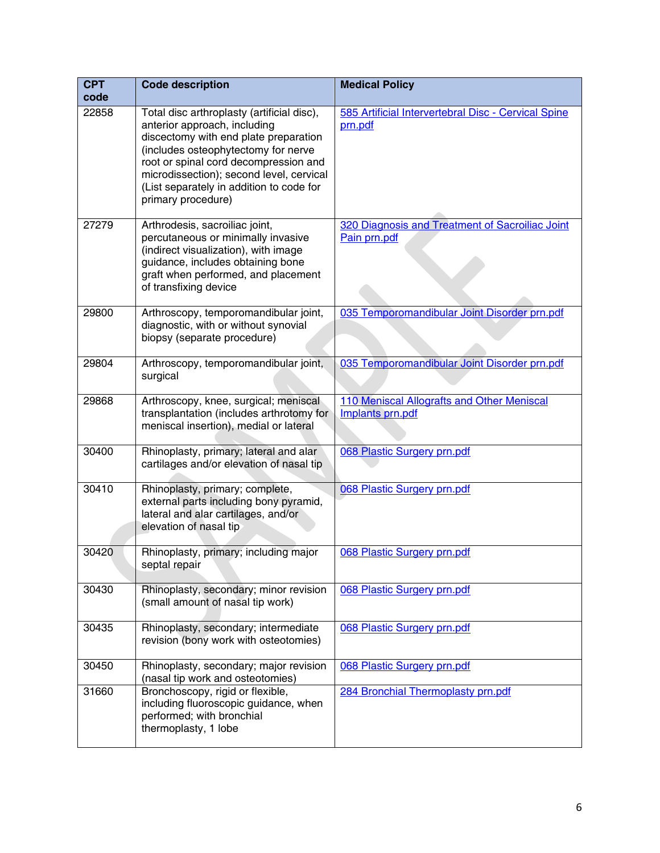| <b>CPT</b><br>code | <b>Code description</b>                                                                                                                                                                                                                                                                                           | <b>Medical Policy</b>                                           |
|--------------------|-------------------------------------------------------------------------------------------------------------------------------------------------------------------------------------------------------------------------------------------------------------------------------------------------------------------|-----------------------------------------------------------------|
| 22858              | Total disc arthroplasty (artificial disc),<br>anterior approach, including<br>discectomy with end plate preparation<br>(includes osteophytectomy for nerve<br>root or spinal cord decompression and<br>microdissection); second level, cervical<br>(List separately in addition to code for<br>primary procedure) | 585 Artificial Intervertebral Disc - Cervical Spine<br>prn.pdf  |
| 27279              | Arthrodesis, sacroiliac joint,<br>percutaneous or minimally invasive<br>(indirect visualization), with image<br>guidance, includes obtaining bone<br>graft when performed, and placement<br>of transfixing device                                                                                                 | 320 Diagnosis and Treatment of Sacroiliac Joint<br>Pain prn.pdf |
| 29800              | Arthroscopy, temporomandibular joint,<br>diagnostic, with or without synovial<br>biopsy (separate procedure)                                                                                                                                                                                                      | 035 Temporomandibular Joint Disorder prn.pdf                    |
| 29804              | Arthroscopy, temporomandibular joint,<br>surgical                                                                                                                                                                                                                                                                 | 035 Temporomandibular Joint Disorder prn.pdf                    |
| 29868              | Arthroscopy, knee, surgical; meniscal<br>transplantation (includes arthrotomy for<br>meniscal insertion), medial or lateral                                                                                                                                                                                       | 110 Meniscal Allografts and Other Meniscal<br>Implants prn.pdf  |
| 30400              | Rhinoplasty, primary; lateral and alar<br>cartilages and/or elevation of nasal tip                                                                                                                                                                                                                                | 068 Plastic Surgery prn.pdf                                     |
| 30410              | Rhinoplasty, primary; complete,<br>external parts including bony pyramid,<br>lateral and alar cartilages, and/or<br>elevation of nasal tip                                                                                                                                                                        | 068 Plastic Surgery prn.pdf                                     |
| 30420              | Rhinoplasty, primary; including major<br>septal repair                                                                                                                                                                                                                                                            | 068 Plastic Surgery prn.pdf                                     |
| 30430              | Rhinoplasty, secondary; minor revision<br>(small amount of nasal tip work)                                                                                                                                                                                                                                        | 068 Plastic Surgery prn.pdf                                     |
| 30435              | Rhinoplasty, secondary; intermediate<br>revision (bony work with osteotomies)                                                                                                                                                                                                                                     | 068 Plastic Surgery prn.pdf                                     |
| 30450              | Rhinoplasty, secondary; major revision<br>(nasal tip work and osteotomies)                                                                                                                                                                                                                                        | 068 Plastic Surgery prn.pdf                                     |
| 31660              | Bronchoscopy, rigid or flexible,<br>including fluoroscopic guidance, when<br>performed; with bronchial<br>thermoplasty, 1 lobe                                                                                                                                                                                    | 284 Bronchial Thermoplasty prn.pdf                              |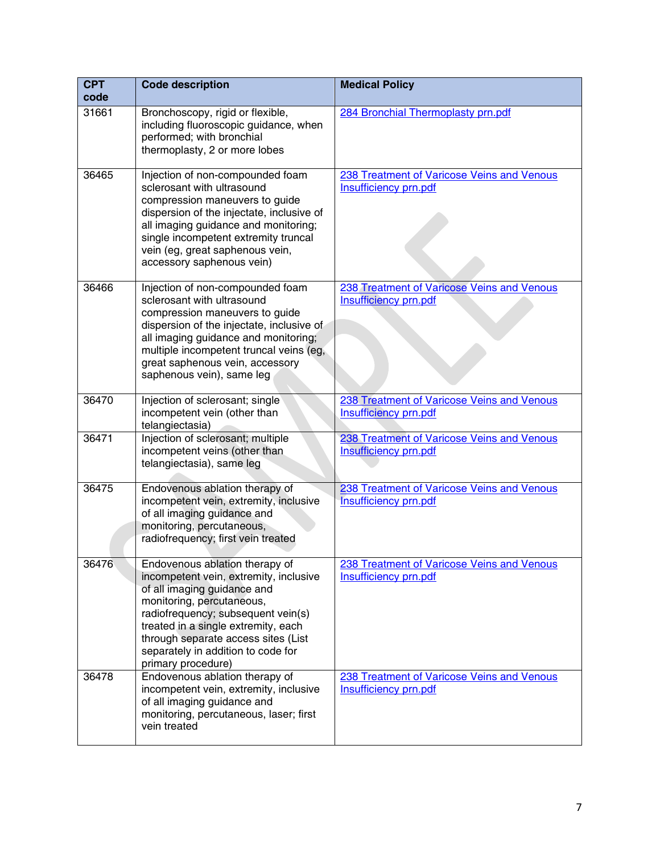| <b>CPT</b><br>code | <b>Code description</b>                                                                                                                                                                                                                                                                                              | <b>Medical Policy</b>                                                      |
|--------------------|----------------------------------------------------------------------------------------------------------------------------------------------------------------------------------------------------------------------------------------------------------------------------------------------------------------------|----------------------------------------------------------------------------|
| 31661              | Bronchoscopy, rigid or flexible,<br>including fluoroscopic guidance, when<br>performed; with bronchial<br>thermoplasty, 2 or more lobes                                                                                                                                                                              | 284 Bronchial Thermoplasty prn.pdf                                         |
| 36465              | Injection of non-compounded foam<br>sclerosant with ultrasound<br>compression maneuvers to guide<br>dispersion of the injectate, inclusive of<br>all imaging guidance and monitoring;<br>single incompetent extremity truncal<br>vein (eg, great saphenous vein,<br>accessory saphenous vein)                        | 238 Treatment of Varicose Veins and Venous<br><b>Insufficiency prn.pdf</b> |
| 36466              | Injection of non-compounded foam<br>sclerosant with ultrasound<br>compression maneuvers to guide<br>dispersion of the injectate, inclusive of<br>all imaging guidance and monitoring;<br>multiple incompetent truncal veins (eg,<br>great saphenous vein, accessory<br>saphenous vein), same leg                     | 238 Treatment of Varicose Veins and Venous<br>Insufficiency prn.pdf        |
| 36470              | Injection of sclerosant; single<br>incompetent vein (other than<br>telangiectasia)                                                                                                                                                                                                                                   | 238 Treatment of Varicose Veins and Venous<br><b>Insufficiency prn.pdf</b> |
| 36471              | Injection of sclerosant; multiple<br>incompetent veins (other than<br>telangiectasia), same leg                                                                                                                                                                                                                      | 238 Treatment of Varicose Veins and Venous<br>Insufficiency prn.pdf        |
| 36475              | Endovenous ablation therapy of<br>incompetent vein, extremity, inclusive<br>of all imaging guidance and<br>monitoring, percutaneous,<br>radiofrequency; first vein treated                                                                                                                                           | 238 Treatment of Varicose Veins and Venous<br><b>Insufficiency prn.pdf</b> |
| 36476              | Endovenous ablation therapy of<br>incompetent vein, extremity, inclusive<br>of all imaging guidance and<br>monitoring, percutaneous,<br>radiofrequency; subsequent vein(s)<br>treated in a single extremity, each<br>through separate access sites (List<br>separately in addition to code for<br>primary procedure) | 238 Treatment of Varicose Veins and Venous<br>Insufficiency prn.pdf        |
| 36478              | Endovenous ablation therapy of<br>incompetent vein, extremity, inclusive<br>of all imaging guidance and<br>monitoring, percutaneous, laser; first<br>vein treated                                                                                                                                                    | 238 Treatment of Varicose Veins and Venous<br>Insufficiency prn.pdf        |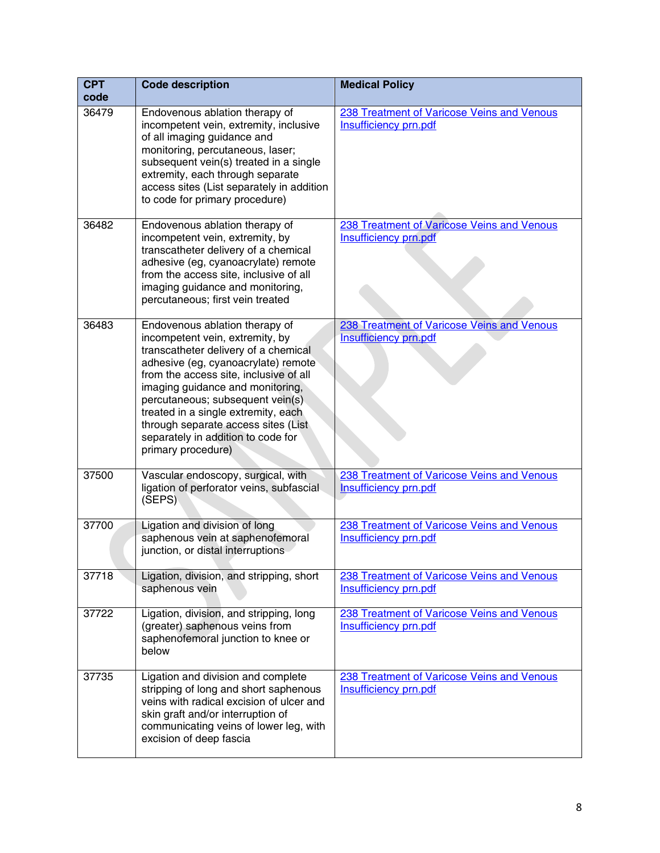| <b>CPT</b><br>code | <b>Code description</b>                                                                                                                                                                                                                                                                                                                                                                                      | <b>Medical Policy</b>                                                      |
|--------------------|--------------------------------------------------------------------------------------------------------------------------------------------------------------------------------------------------------------------------------------------------------------------------------------------------------------------------------------------------------------------------------------------------------------|----------------------------------------------------------------------------|
| 36479              | Endovenous ablation therapy of<br>incompetent vein, extremity, inclusive<br>of all imaging guidance and<br>monitoring, percutaneous, laser;<br>subsequent vein(s) treated in a single<br>extremity, each through separate<br>access sites (List separately in addition<br>to code for primary procedure)                                                                                                     | 238 Treatment of Varicose Veins and Venous<br>Insufficiency prn.pdf        |
| 36482              | Endovenous ablation therapy of<br>incompetent vein, extremity, by<br>transcatheter delivery of a chemical<br>adhesive (eg, cyanoacrylate) remote<br>from the access site, inclusive of all<br>imaging guidance and monitoring,<br>percutaneous; first vein treated                                                                                                                                           | 238 Treatment of Varicose Veins and Venous<br><b>Insufficiency prn.pdf</b> |
| 36483              | Endovenous ablation therapy of<br>incompetent vein, extremity, by<br>transcatheter delivery of a chemical<br>adhesive (eg, cyanoacrylate) remote<br>from the access site, inclusive of all<br>imaging guidance and monitoring,<br>percutaneous; subsequent vein(s)<br>treated in a single extremity, each<br>through separate access sites (List<br>separately in addition to code for<br>primary procedure) | 238 Treatment of Varicose Veins and Venous<br>Insufficiency prn.pdf        |
| 37500              | Vascular endoscopy, surgical, with<br>ligation of perforator veins, subfascial<br>(SEPS)                                                                                                                                                                                                                                                                                                                     | 238 Treatment of Varicose Veins and Venous<br><b>Insufficiency prn.pdf</b> |
| 37700              | Ligation and division of long<br>saphenous vein at saphenofemoral<br>junction, or distal interruptions                                                                                                                                                                                                                                                                                                       | 238 Treatment of Varicose Veins and Venous<br><b>Insufficiency prn.pdf</b> |
| 37718              | Ligation, division, and stripping, short<br>saphenous vein                                                                                                                                                                                                                                                                                                                                                   | 238 Treatment of Varicose Veins and Venous<br><b>Insufficiency prn.pdf</b> |
| 37722              | Ligation, division, and stripping, long<br>(greater) saphenous veins from<br>saphenofemoral junction to knee or<br>below                                                                                                                                                                                                                                                                                     | 238 Treatment of Varicose Veins and Venous<br>Insufficiency prn.pdf        |
| 37735              | Ligation and division and complete<br>stripping of long and short saphenous<br>veins with radical excision of ulcer and<br>skin graft and/or interruption of<br>communicating veins of lower leg, with<br>excision of deep fascia                                                                                                                                                                            | 238 Treatment of Varicose Veins and Venous<br><b>Insufficiency prn.pdf</b> |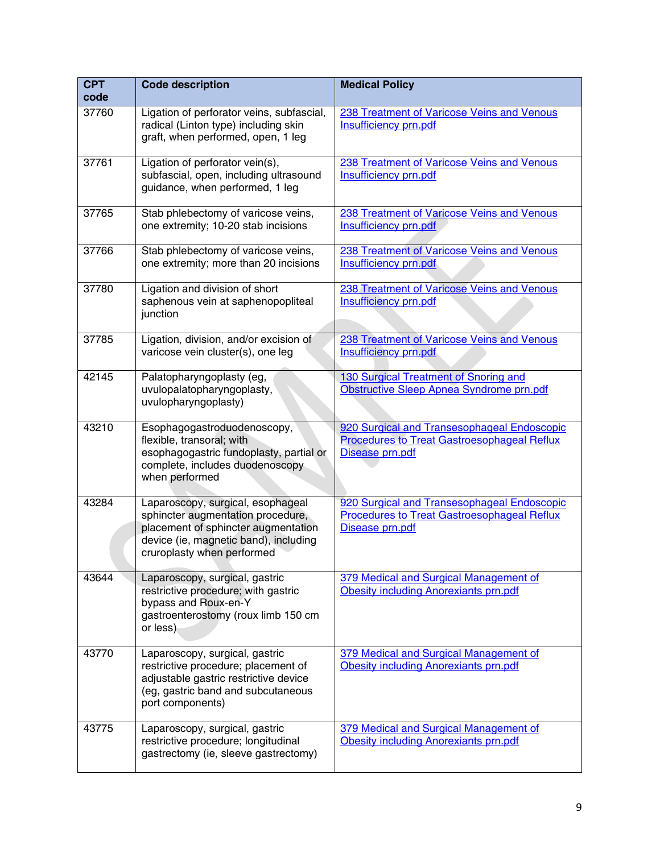| <b>CPT</b><br>code | <b>Code description</b>                                                                                                                                                              | <b>Medical Policy</b>                                                                                                |
|--------------------|--------------------------------------------------------------------------------------------------------------------------------------------------------------------------------------|----------------------------------------------------------------------------------------------------------------------|
| 37760              | Ligation of perforator veins, subfascial,<br>radical (Linton type) including skin<br>graft, when performed, open, 1 leg                                                              | 238 Treatment of Varicose Veins and Venous<br><b>Insufficiency prn.pdf</b>                                           |
| 37761              | Ligation of perforator vein(s),<br>subfascial, open, including ultrasound<br>guidance, when performed, 1 leg                                                                         | 238 Treatment of Varicose Veins and Venous<br><b>Insufficiency prn.pdf</b>                                           |
| 37765              | Stab phlebectomy of varicose veins,<br>one extremity; 10-20 stab incisions                                                                                                           | 238 Treatment of Varicose Veins and Venous<br><b>Insufficiency prn.pdf</b>                                           |
| 37766              | Stab phlebectomy of varicose veins,<br>one extremity; more than 20 incisions                                                                                                         | 238 Treatment of Varicose Veins and Venous<br>Insufficiency prn.pdf                                                  |
| 37780              | Ligation and division of short<br>saphenous vein at saphenopopliteal<br>junction                                                                                                     | 238 Treatment of Varicose Veins and Venous<br><b>Insufficiency prn.pdf</b>                                           |
| 37785              | Ligation, division, and/or excision of<br>varicose vein cluster(s), one leg                                                                                                          | 238 Treatment of Varicose Veins and Venous<br><b>Insufficiency prn.pdf</b>                                           |
| 42145              | Palatopharyngoplasty (eg,<br>uvulopalatopharyngoplasty,<br>uvulopharyngoplasty)                                                                                                      | 130 Surgical Treatment of Snoring and<br>Obstructive Sleep Apnea Syndrome prn.pdf                                    |
| 43210              | Esophagogastroduodenoscopy,<br>flexible, transoral; with<br>esophagogastric fundoplasty, partial or<br>complete, includes duodenoscopy<br>when performed                             | 920 Surgical and Transesophageal Endoscopic<br><b>Procedures to Treat Gastroesophageal Reflux</b><br>Disease prn.pdf |
| 43284              | Laparoscopy, surgical, esophageal<br>sphincter augmentation procedure,<br>placement of sphincter augmentation<br>device (ie, magnetic band), including<br>cruroplasty when performed | 920 Surgical and Transesophageal Endoscopic<br><b>Procedures to Treat Gastroesophageal Reflux</b><br>Disease prn.pdf |
| 43644              | Laparoscopy, surgical, gastric<br>restrictive procedure; with gastric<br>bypass and Roux-en-Y<br>gastroenterostomy (roux limb 150 cm<br>or less)                                     | 379 Medical and Surgical Management of<br><b>Obesity including Anorexiants prn.pdf</b>                               |
| 43770              | Laparoscopy, surgical, gastric<br>restrictive procedure; placement of<br>adjustable gastric restrictive device<br>(eg, gastric band and subcutaneous<br>port components)             | 379 Medical and Surgical Management of<br><b>Obesity including Anorexiants prn.pdf</b>                               |
| 43775              | Laparoscopy, surgical, gastric<br>restrictive procedure; longitudinal<br>gastrectomy (ie, sleeve gastrectomy)                                                                        | 379 Medical and Surgical Management of<br><b>Obesity including Anorexiants prn.pdf</b>                               |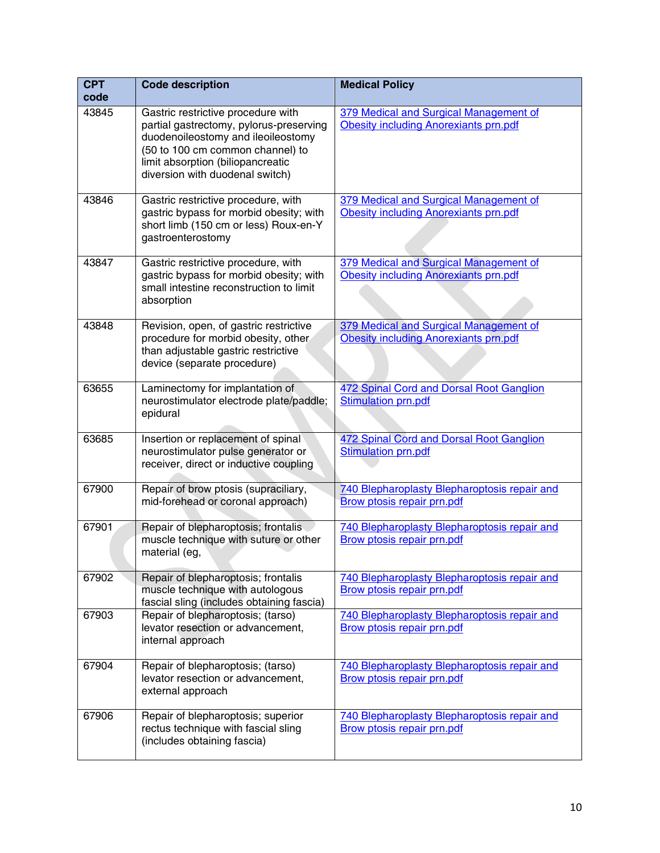| <b>CPT</b> | <b>Code description</b>                                                                                                                                                                                                         | <b>Medical Policy</b>                                                                  |
|------------|---------------------------------------------------------------------------------------------------------------------------------------------------------------------------------------------------------------------------------|----------------------------------------------------------------------------------------|
| code       |                                                                                                                                                                                                                                 |                                                                                        |
| 43845      | Gastric restrictive procedure with<br>partial gastrectomy, pylorus-preserving<br>duodenoileostomy and ileoileostomy<br>(50 to 100 cm common channel) to<br>limit absorption (biliopancreatic<br>diversion with duodenal switch) | 379 Medical and Surgical Management of<br><b>Obesity including Anorexiants prn.pdf</b> |
| 43846      | Gastric restrictive procedure, with<br>gastric bypass for morbid obesity; with<br>short limb (150 cm or less) Roux-en-Y<br>gastroenterostomy                                                                                    | 379 Medical and Surgical Management of<br><b>Obesity including Anorexiants prn.pdf</b> |
| 43847      | Gastric restrictive procedure, with<br>gastric bypass for morbid obesity; with<br>small intestine reconstruction to limit<br>absorption                                                                                         | 379 Medical and Surgical Management of<br><b>Obesity including Anorexiants prn.pdf</b> |
| 43848      | Revision, open, of gastric restrictive<br>procedure for morbid obesity, other<br>than adjustable gastric restrictive<br>device (separate procedure)                                                                             | 379 Medical and Surgical Management of<br><b>Obesity including Anorexiants prn.pdf</b> |
| 63655      | Laminectomy for implantation of<br>neurostimulator electrode plate/paddle;<br>epidural                                                                                                                                          | 472 Spinal Cord and Dorsal Root Ganglion<br><b>Stimulation prn.pdf</b>                 |
| 63685      | Insertion or replacement of spinal<br>neurostimulator pulse generator or<br>receiver, direct or inductive coupling                                                                                                              | 472 Spinal Cord and Dorsal Root Ganglion<br><b>Stimulation prn.pdf</b>                 |
| 67900      | Repair of brow ptosis (supraciliary,<br>mid-forehead or coronal approach)                                                                                                                                                       | 740 Blepharoplasty Blepharoptosis repair and<br><b>Brow ptosis repair prn.pdf</b>      |
| 67901      | Repair of blepharoptosis; frontalis<br>muscle technique with suture or other<br>material (eg,                                                                                                                                   | 740 Blepharoplasty Blepharoptosis repair and<br>Brow ptosis repair prn.pdf             |
| 67902      | Repair of blepharoptosis; frontalis<br>muscle technique with autologous<br>fascial sling (includes obtaining fascia)                                                                                                            | 740 Blepharoplasty Blepharoptosis repair and<br>Brow ptosis repair prn.pdf             |
| 67903      | Repair of blepharoptosis; (tarso)<br>levator resection or advancement,<br>internal approach                                                                                                                                     | 740 Blepharoplasty Blepharoptosis repair and<br><b>Brow ptosis repair prn.pdf</b>      |
| 67904      | Repair of blepharoptosis; (tarso)<br>levator resection or advancement,<br>external approach                                                                                                                                     | 740 Blepharoplasty Blepharoptosis repair and<br>Brow ptosis repair prn.pdf             |
| 67906      | Repair of blepharoptosis; superior<br>rectus technique with fascial sling<br>(includes obtaining fascia)                                                                                                                        | 740 Blepharoplasty Blepharoptosis repair and<br><b>Brow ptosis repair prn.pdf</b>      |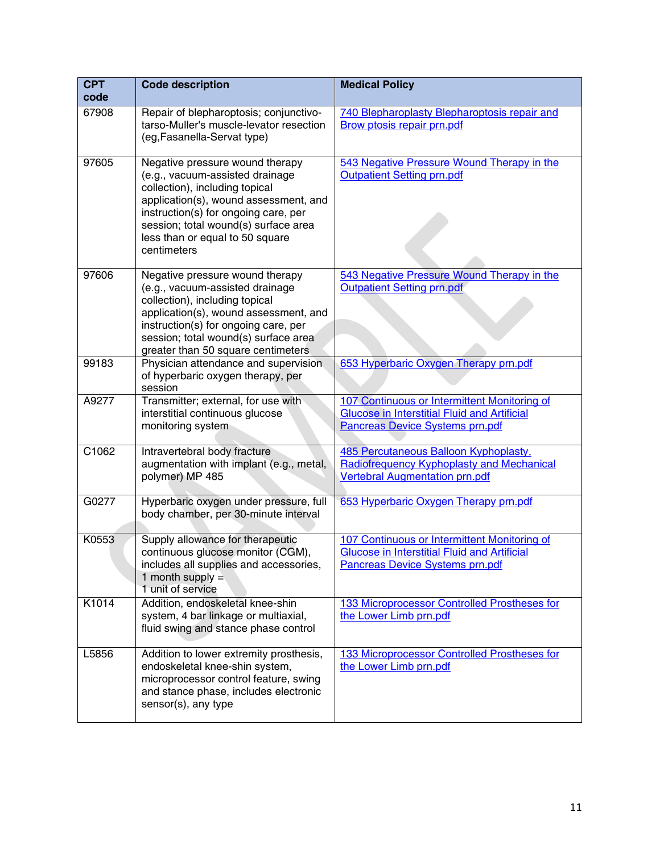| <b>CPT</b><br>code | <b>Code description</b>                                                                                                                                                                                                                                                         | <b>Medical Policy</b>                                                                                                                         |
|--------------------|---------------------------------------------------------------------------------------------------------------------------------------------------------------------------------------------------------------------------------------------------------------------------------|-----------------------------------------------------------------------------------------------------------------------------------------------|
| 67908              | Repair of blepharoptosis; conjunctivo-<br>tarso-Muller's muscle-levator resection<br>(eg, Fasanella-Servat type)                                                                                                                                                                | 740 Blepharoplasty Blepharoptosis repair and<br>Brow ptosis repair prn.pdf                                                                    |
| 97605              | Negative pressure wound therapy<br>(e.g., vacuum-assisted drainage<br>collection), including topical<br>application(s), wound assessment, and<br>instruction(s) for ongoing care, per<br>session; total wound(s) surface area<br>less than or equal to 50 square<br>centimeters | 543 Negative Pressure Wound Therapy in the<br>Outpatient Setting prn.pdf                                                                      |
| 97606              | Negative pressure wound therapy<br>(e.g., vacuum-assisted drainage<br>collection), including topical<br>application(s), wound assessment, and<br>instruction(s) for ongoing care, per<br>session; total wound(s) surface area<br>greater than 50 square centimeters             | 543 Negative Pressure Wound Therapy in the<br>Outpatient Setting prn.pdf                                                                      |
| 99183              | Physician attendance and supervision<br>of hyperbaric oxygen therapy, per<br>session                                                                                                                                                                                            | 653 Hyperbaric Oxygen Therapy prn.pdf                                                                                                         |
| A9277              | Transmitter; external, for use with<br>interstitial continuous glucose<br>monitoring system                                                                                                                                                                                     | 107 Continuous or Intermittent Monitoring of<br><b>Glucose in Interstitial Fluid and Artificial</b><br><b>Pancreas Device Systems prn.pdf</b> |
| C1062              | Intravertebral body fracture<br>augmentation with implant (e.g., metal,<br>polymer) MP 485                                                                                                                                                                                      | 485 Percutaneous Balloon Kyphoplasty,<br>Radiofrequency Kyphoplasty and Mechanical<br><b>Vertebral Augmentation prn.pdf</b>                   |
| G0277              | Hyperbaric oxygen under pressure, full<br>body chamber, per 30-minute interval                                                                                                                                                                                                  | 653 Hyperbaric Oxygen Therapy prn.pdf                                                                                                         |
| K0553              | Supply allowance for therapeutic<br>continuous glucose monitor (CGM),<br>includes all supplies and accessories,<br>1 month supply $=$<br>1 unit of service                                                                                                                      | 107 Continuous or Intermittent Monitoring of<br><b>Glucose in Interstitial Fluid and Artificial</b><br><b>Pancreas Device Systems prn.pdf</b> |
| K1014              | Addition, endoskeletal knee-shin<br>system, 4 bar linkage or multiaxial,<br>fluid swing and stance phase control                                                                                                                                                                | 133 Microprocessor Controlled Prostheses for<br>the Lower Limb prn.pdf                                                                        |
| L5856              | Addition to lower extremity prosthesis,<br>endoskeletal knee-shin system,<br>microprocessor control feature, swing<br>and stance phase, includes electronic<br>sensor(s), any type                                                                                              | 133 Microprocessor Controlled Prostheses for<br>the Lower Limb prn.pdf                                                                        |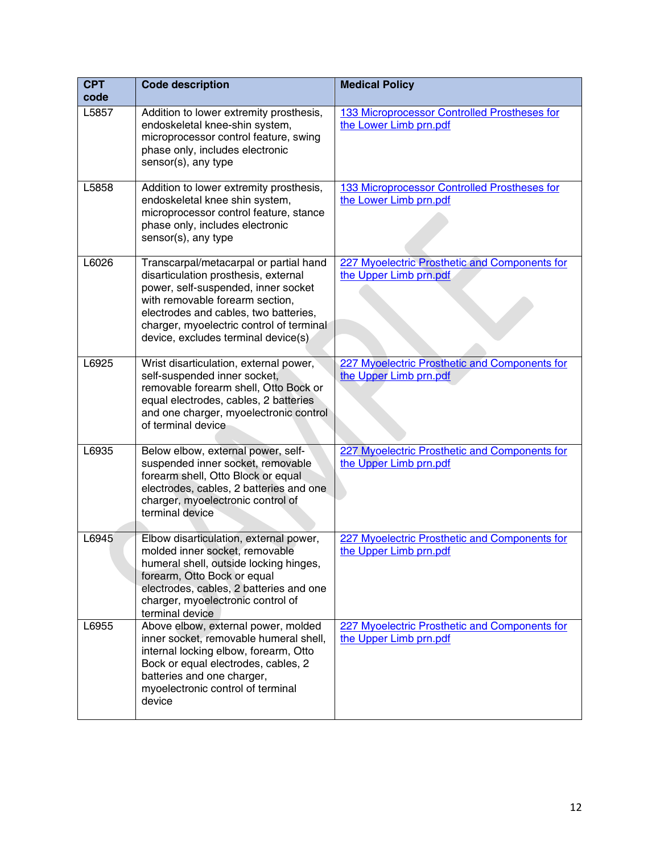| <b>CPT</b><br>code | <b>Code description</b>                                                                                                                                                                                                                                                              | <b>Medical Policy</b>                                                   |
|--------------------|--------------------------------------------------------------------------------------------------------------------------------------------------------------------------------------------------------------------------------------------------------------------------------------|-------------------------------------------------------------------------|
| L5857              | Addition to lower extremity prosthesis,<br>endoskeletal knee-shin system,<br>microprocessor control feature, swing<br>phase only, includes electronic<br>sensor(s), any type                                                                                                         | 133 Microprocessor Controlled Prostheses for<br>the Lower Limb prn.pdf  |
| L5858              | Addition to lower extremity prosthesis,<br>endoskeletal knee shin system,<br>microprocessor control feature, stance<br>phase only, includes electronic<br>sensor(s), any type                                                                                                        | 133 Microprocessor Controlled Prostheses for<br>the Lower Limb prn.pdf  |
| L6026              | Transcarpal/metacarpal or partial hand<br>disarticulation prosthesis, external<br>power, self-suspended, inner socket<br>with removable forearm section,<br>electrodes and cables, two batteries,<br>charger, myoelectric control of terminal<br>device, excludes terminal device(s) | 227 Myoelectric Prosthetic and Components for<br>the Upper Limb prn.pdf |
| L6925              | Wrist disarticulation, external power,<br>self-suspended inner socket,<br>removable forearm shell, Otto Bock or<br>equal electrodes, cables, 2 batteries<br>and one charger, myoelectronic control<br>of terminal device                                                             | 227 Myoelectric Prosthetic and Components for<br>the Upper Limb prn.pdf |
| L6935              | Below elbow, external power, self-<br>suspended inner socket, removable<br>forearm shell, Otto Block or equal<br>electrodes, cables, 2 batteries and one<br>charger, myoelectronic control of<br>terminal device                                                                     | 227 Myoelectric Prosthetic and Components for<br>the Upper Limb prn.pdf |
| L6945              | Elbow disarticulation, external power,<br>molded inner socket, removable<br>humeral shell, outside locking hinges,<br>forearm, Otto Bock or equal<br>electrodes, cables, 2 batteries and one<br>charger, myoelectronic control of<br>terminal device                                 | 227 Myoelectric Prosthetic and Components for<br>the Upper Limb prn.pdf |
| L6955              | Above elbow, external power, molded<br>inner socket, removable humeral shell,<br>internal locking elbow, forearm, Otto<br>Bock or equal electrodes, cables, 2<br>batteries and one charger,<br>myoelectronic control of terminal<br>device                                           | 227 Myoelectric Prosthetic and Components for<br>the Upper Limb prn.pdf |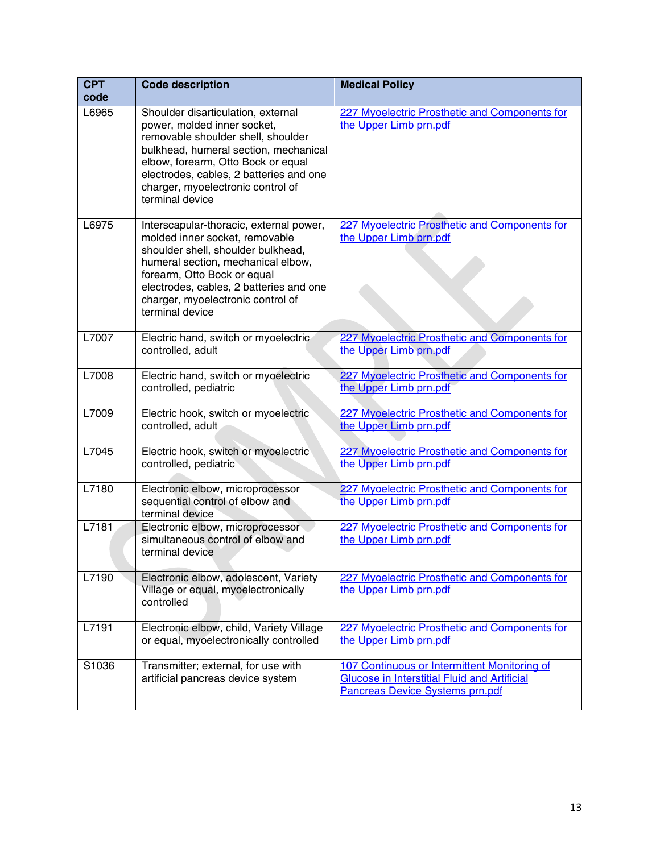| <b>CPT</b><br>code | <b>Code description</b>                                                                                                                                                                                                                                                                   | <b>Medical Policy</b>                                                                                                                         |
|--------------------|-------------------------------------------------------------------------------------------------------------------------------------------------------------------------------------------------------------------------------------------------------------------------------------------|-----------------------------------------------------------------------------------------------------------------------------------------------|
| L6965              | Shoulder disarticulation, external<br>power, molded inner socket,<br>removable shoulder shell, shoulder<br>bulkhead, humeral section, mechanical<br>elbow, forearm, Otto Bock or equal<br>electrodes, cables, 2 batteries and one<br>charger, myoelectronic control of<br>terminal device | 227 Myoelectric Prosthetic and Components for<br>the Upper Limb prn.pdf                                                                       |
| L6975              | Interscapular-thoracic, external power,<br>molded inner socket, removable<br>shoulder shell, shoulder bulkhead,<br>humeral section, mechanical elbow,<br>forearm, Otto Bock or equal<br>electrodes, cables, 2 batteries and one<br>charger, myoelectronic control of<br>terminal device   | 227 Myoelectric Prosthetic and Components for<br>the Upper Limb prn.pdf                                                                       |
| L7007              | Electric hand, switch or myoelectric<br>controlled, adult                                                                                                                                                                                                                                 | 227 Myoelectric Prosthetic and Components for<br>the Upper Limb prn.pdf                                                                       |
| L7008              | Electric hand, switch or myoelectric<br>controlled, pediatric                                                                                                                                                                                                                             | 227 Myoelectric Prosthetic and Components for<br>the Upper Limb prn.pdf                                                                       |
| L7009              | Electric hook, switch or myoelectric<br>controlled, adult                                                                                                                                                                                                                                 | 227 Myoelectric Prosthetic and Components for<br>the Upper Limb prn.pdf                                                                       |
| L7045              | Electric hook, switch or myoelectric<br>controlled, pediatric                                                                                                                                                                                                                             | 227 Myoelectric Prosthetic and Components for<br>the Upper Limb prn.pdf                                                                       |
| L7180              | Electronic elbow, microprocessor<br>sequential control of elbow and<br>terminal device                                                                                                                                                                                                    | 227 Myoelectric Prosthetic and Components for<br>the Upper Limb prn.pdf                                                                       |
| L7181              | Electronic elbow, microprocessor<br>simultaneous control of elbow and<br>terminal device                                                                                                                                                                                                  | 227 Myoelectric Prosthetic and Components for<br>the Upper Limb prn.pdf                                                                       |
| L7190              | Electronic elbow, adolescent, Variety<br>Village or equal, myoelectronically<br>controlled                                                                                                                                                                                                | 227 Myoelectric Prosthetic and Components for<br>the Upper Limb prn.pdf                                                                       |
| L7191              | Electronic elbow, child, Variety Village<br>or equal, myoelectronically controlled                                                                                                                                                                                                        | 227 Myoelectric Prosthetic and Components for<br>the Upper Limb prn.pdf                                                                       |
| S1036              | Transmitter; external, for use with<br>artificial pancreas device system                                                                                                                                                                                                                  | 107 Continuous or Intermittent Monitoring of<br><b>Glucose in Interstitial Fluid and Artificial</b><br><b>Pancreas Device Systems prn.pdf</b> |